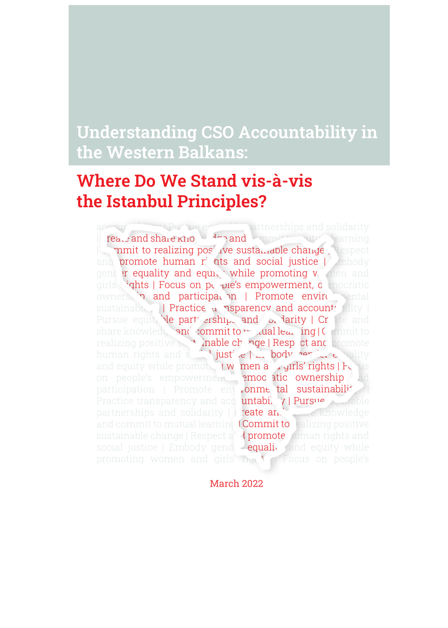### Understanding CSO Accountability in the Western Balkans:

#### Respect and promote human rights and social justice | Where Do We Stand vis-à-vis and girls' rights | Focus on people's empowerment, the Istanbul Principles?  $\blacksquare$

accountability Pursue equitable partnerships and solidarity I readend share knowledge and committee with rearning mmit to realizing positive sustamable change Respect and **promote human r**: hts and social justice | Ambody gender equality and equity while promoting women and girls 'ghts | Focus on pe ple's empowerment, democratic ownership and participation | Promote environmental sustainabha | Practice u **Asparency and account** Pursue equite ble part erships and or larity | Cr ate and share knowledy and commit to mutual learning | Commit to realizing positive suntainable change | Respect and promote human rights and solid justice  $\Box$  body for  $\Box$  cality and equity while promoting **women and girls' rights | Fo**cus on people's empowerment, **emocatic ownership** and participation | Promote envir**onme tal sustainability |** | Practice transparency and accountability | Pursue  $\Lambda$ partnerships and solidarity  $\|\cdot\|$  reate and share knowledge and commit to mutual learning (Commit to ealizing positive sustainable change | Respect a<sup>nd</sup> promote human rights and social justice  $\mid$  Embody gend  $\mid$  equality and equity while promoting women and girls'  $r_{\text{y}}$  of Focus on people's

Promote environmental sustainability | Practice March 2022

empowerment, democratic ownership and participation |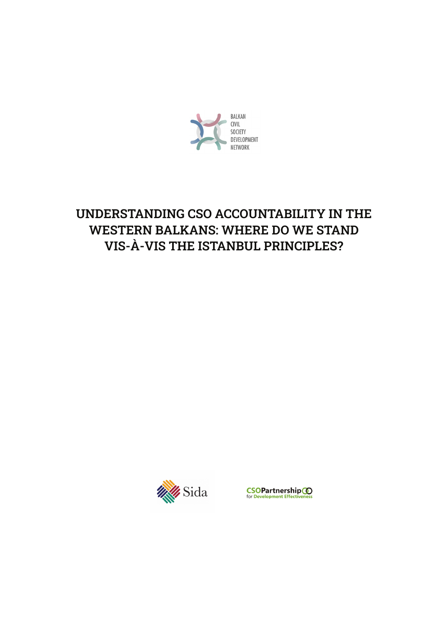

### UNDERSTANDING CSO ACCOUNTABILITY IN THE WESTERN BALKANS: WHERE DO WE STAND VIS-À-VIS THE ISTANBUL PRINCIPLES?



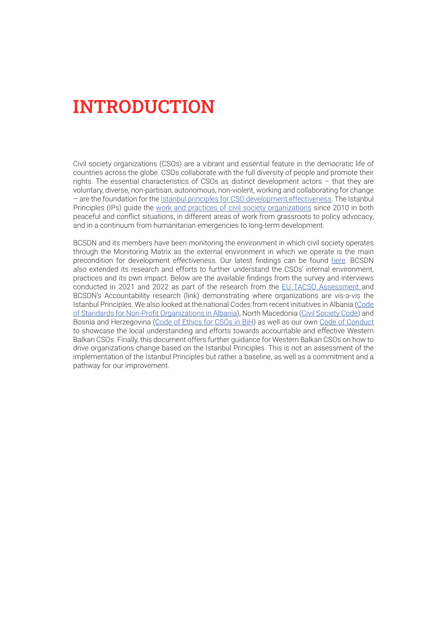### INTRODUCTION

Civil society organizations (CSOs) are a vibrant and essential feature in the democratic life of countries across the globe. CSOs collaborate with the full diversity of people and promote their rights. The essential characteristics of CSOs as distinct development actors – that they are voluntary, diverse, non-partisan, autonomous, non-violent, working and collaborating for change – are the foundation for the [Istanbul principles for CSO development effectiveness](https://csopartnership.org/resource/istanbul-principles-for-cso-development-effectiveness/). The Istanbul Principles (IPs) guide the [work and practices of civil society organizations](https://csopartnership.org/wp-content/uploads/2020/07/IT.pdf) since 2010 in both peaceful and conflict situations, in different areas of work from grassroots to policy advocacy, and in a continuum from humanitarian emergencies to long-term development.

BCSDN and its members have been monitoring the environment in which civil society operates through the Monitoring Matrix as the external environment in which we operate is the main precondition for development effectiveness. Our latest findings can be found [here](https://www.balkancsd.net/publications/monitoring-matrix-reports/). BCSDN also extended its research and efforts to further understand the CSOs' internal environment, practices and its own impact. Below are the available findings from the survey and interviews conducted in 2021 and 2022 as part of the research from the [EU TACSO Assessment](https://tacso.eu/wp-content/uploads/2022/03/TACSO_2020_CSG_Assessment_report_FINAL_10.03.22.pdf) and BCSDN's Accountability research (link) demonstrating where organizations are vis-a-vis the Istanbul Principles. We also looked at the national Codes from recent initiatives in Albania [\(Code](https://resourcecentre.al/our-services/csos-standards-on-accountability-and-transparency/) [of Standards for Non-Profit Organizations in Albania](https://resourcecentre.al/our-services/csos-standards-on-accountability-and-transparency/)), North Macedonia [\(Civil Society Code](https://mcms.mk/images/docs/2021/Civil Society Code.pdf)) and Bosnia and Herzegovina [\(Code of Ethics for CSOs in BiH\)](https://civilnodrustvo.ba/wp-content/uploads/2021/01/eticki-kodeks-za-organizacije-civilnog-drustva-u-bosni-i-hercegovini.pdf) as well as our own [Code of Conduct](https://www.balkancsd.net/novo/wp-content/uploads/2018/03/34-1-BCSDN-Code-of-Conduct-final.pdf) to showcase the local understanding and efforts towards accountable and effective Western Balkan CSOs. Finally, this document offers further guidance for Western Balkan CSOs on how to drive organizations change based on the Istanbul Principles. This is not an assessment of the implementation of the Istanbul Principles but rather a baseline, as well as a commitment and a pathway for our improvement.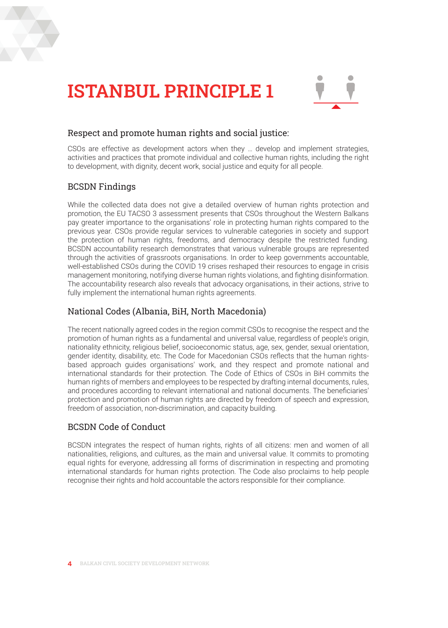



#### Respect and promote human rights and social justice:

CSOs are effective as development actors when they … develop and implement strategies, activities and practices that promote individual and collective human rights, including the right to development, with dignity, decent work, social justice and equity for all people.

#### BCSDN Findings

While the collected data does not give a detailed overview of human rights protection and promotion, the EU TACSO 3 assessment presents that CSOs throughout the Western Balkans pay greater importance to the organisations' role in protecting human rights compared to the previous year. CSOs provide regular services to vulnerable categories in society and support the protection of human rights, freedoms, and democracy despite the restricted funding. BCSDN accountability research demonstrates that various vulnerable groups are represented through the activities of grassroots organisations. In order to keep governments accountable, well-established CSOs during the COVID 19 crises reshaped their resources to engage in crisis management monitoring, notifying diverse human rights violations, and fighting disinformation. The accountability research also reveals that advocacy organisations, in their actions, strive to fully implement the international human rights agreements.

#### National Codes (Albania, BiH, North Macedonia)

The recent nationally agreed codes in the region commit CSOs to recognise the respect and the promotion of human rights as a fundamental and universal value, regardless of people's origin, nationality ethnicity, religious belief, socioeconomic status, age, sex, gender, sexual orientation, gender identity, disability, etc. The Code for Macedonian CSOs reflects that the human rightsbased approach guides organisations' work, and they respect and promote national and international standards for their protection. The Code of Ethics of CSOs in BiH commits the human rights of members and employees to be respected by drafting internal documents, rules, and procedures according to relevant international and national documents. The beneficiaries' protection and promotion of human rights are directed by freedom of speech and expression, freedom of association, non-discrimination, and capacity building.

#### BCSDN Code of Conduct

BCSDN integrates the respect of human rights, rights of all citizens: men and women of all nationalities, religions, and cultures, as the main and universal value. It commits to promoting equal rights for everyone, addressing all forms of discrimination in respecting and promoting international standards for human rights protection. The Code also proclaims to help people recognise their rights and hold accountable the actors responsible for their compliance.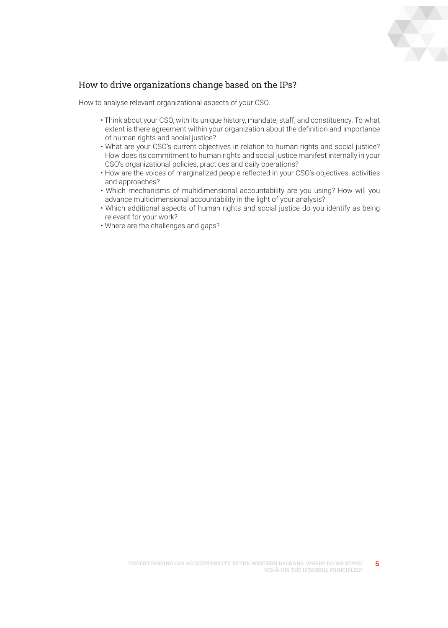

How to analyse relevant organizational aspects of your CSO.

- Think about your CSO, with its unique history, mandate, staff, and constituency. To what extent is there agreement within your organization about the definition and importance of human rights and social justice?
- What are your CSO's current objectives in relation to human rights and social justice? How does its commitment to human rights and social justice manifest internally in your CSO's organizational policies, practices and daily operations?
- How are the voices of marginalized people reflected in your CSO's objectives, activities and approaches?
- Which mechanisms of multidimensional accountability are you using? How will you advance multidimensional accountability in the light of your analysis?
- Which additional aspects of human rights and social justice do you identify as being relevant for your work?
- Where are the challenges and gaps?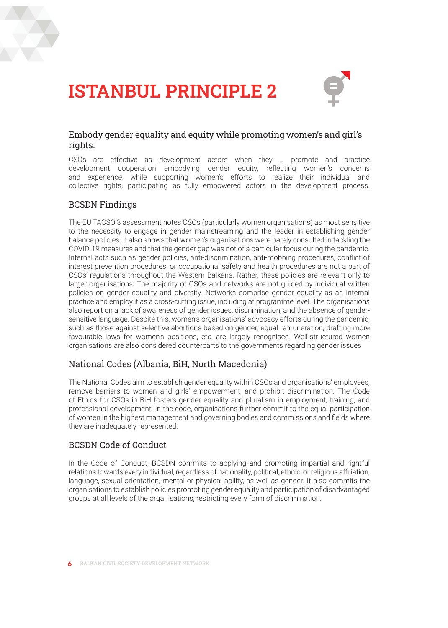



#### Embody gender equality and equity while promoting women's and girl's rights:

CSOs are effective as development actors when they … promote and practice development cooperation embodying gender equity, reflecting women's concerns and experience, while supporting women's efforts to realize their individual and collective rights, participating as fully empowered actors in the development process.

#### BCSDN Findings

The EU TACSO 3 assessment notes CSOs (particularly women organisations) as most sensitive to the necessity to engage in gender mainstreaming and the leader in establishing gender balance policies. It also shows that women's organisations were barely consulted in tackling the COVID-19 measures and that the gender gap was not of a particular focus during the pandemic. Internal acts such as gender policies, anti-discrimination, anti-mobbing procedures, conflict of interest prevention procedures, or occupational safety and health procedures are not a part of CSOs' regulations throughout the Western Balkans. Rather, these policies are relevant only to larger organisations. The majority of CSOs and networks are not guided by individual written policies on gender equality and diversity. Networks comprise gender equality as an internal practice and employ it as a cross-cutting issue, including at programme level. The organisations also report on a lack of awareness of gender issues, discrimination, and the absence of gendersensitive language. Despite this, women's organisations' advocacy efforts during the pandemic, such as those against selective abortions based on gender; equal remuneration; drafting more favourable laws for women's positions, etc, are largely recognised. Well-structured women organisations are also considered counterparts to the governments regarding gender issues

#### National Codes (Albania, BiH, North Macedonia)

The National Codes aim to establish gender equality within CSOs and organisations' employees, remove barriers to women and girls' empowerment, and prohibit discrimination. The Code of Ethics for CSOs in BiH fosters gender equality and pluralism in employment, training, and professional development. In the code, organisations further commit to the equal participation of women in the highest management and governing bodies and commissions and fields where they are inadequately represented.

#### BCSDN Code of Conduct

In the Code of Conduct, BCSDN commits to applying and promoting impartial and rightful relations towards every individual, regardless of nationality, political, ethnic, or religious affiliation, language, sexual orientation, mental or physical ability, as well as gender. It also commits the organisations to establish policies promoting gender equality and participation of disadvantaged groups at all levels of the organisations, restricting every form of discrimination.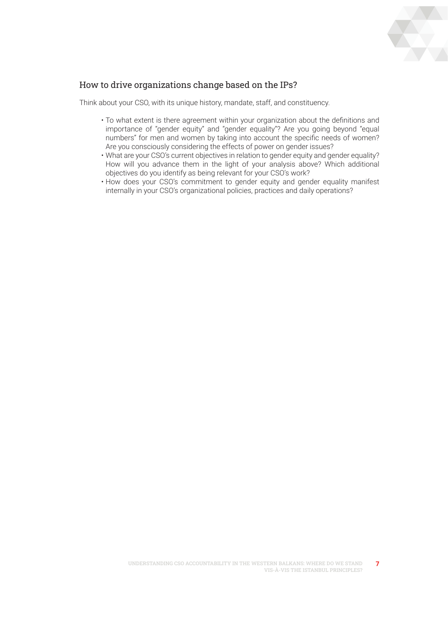

- To what extent is there agreement within your organization about the definitions and importance of "gender equity" and "gender equality"? Are you going beyond "equal numbers" for men and women by taking into account the specific needs of women? Are you consciously considering the effects of power on gender issues?
- What are your CSO's current objectives in relation to gender equity and gender equality? How will you advance them in the light of your analysis above? Which additional objectives do you identify as being relevant for your CSO's work?
- How does your CSO's commitment to gender equity and gender equality manifest internally in your CSO's organizational policies, practices and daily operations?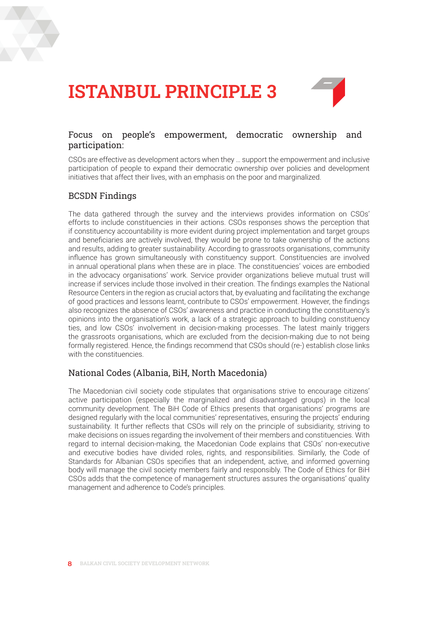



#### Focus on people's empowerment, democratic ownership and participation:

CSOs are effective as development actors when they … support the empowerment and inclusive participation of people to expand their democratic ownership over policies and development initiatives that affect their lives, with an emphasis on the poor and marginalized.

#### BCSDN Findings

The data gathered through the survey and the interviews provides information on CSOs' efforts to include constituencies in their actions. CSOs responses shows the perception that if constituency accountability is more evident during project implementation and target groups and beneficiaries are actively involved, they would be prone to take ownership of the actions and results, adding to greater sustainability. According to grassroots organisations, community influence has grown simultaneously with constituency support. Constituencies are involved in annual operational plans when these are in place. The constituencies' voices are embodied in the advocacy organisations' work. Service provider organizations believe mutual trust will increase if services include those involved in their creation. The findings examples the National Resource Centers in the region as crucial actors that, by evaluating and facilitating the exchange of good practices and lessons learnt, contribute to CSOs' empowerment. However, the findings also recognizes the absence of CSOs' awareness and practice in conducting the constituency's opinions into the organisation's work, a lack of a strategic approach to building constituency ties, and low CSOs' involvement in decision-making processes. The latest mainly triggers the grassroots organisations, which are excluded from the decision-making due to not being formally registered. Hence, the findings recommend that CSOs should (re-) establish close links with the constituencies.

#### National Codes (Albania, BiH, North Macedonia)

The Macedonian civil society code stipulates that organisations strive to encourage citizens' active participation (especially the marginalized and disadvantaged groups) in the local community development. The BiH Code of Ethics presents that organisations' programs are designed regularly with the local communities' representatives, ensuring the projects' enduring sustainability. It further reflects that CSOs will rely on the principle of subsidiarity, striving to make decisions on issues regarding the involvement of their members and constituencies. With regard to internal decision-making, the Macedonian Code explains that CSOs' non-executive and executive bodies have divided roles, rights, and responsibilities. Similarly, the Code of Standards for Albanian CSOs specifies that an independent, active, and informed governing body will manage the civil society members fairly and responsibly. The Code of Ethics for BiH CSOs adds that the competence of management structures assures the organisations' quality management and adherence to Code's principles.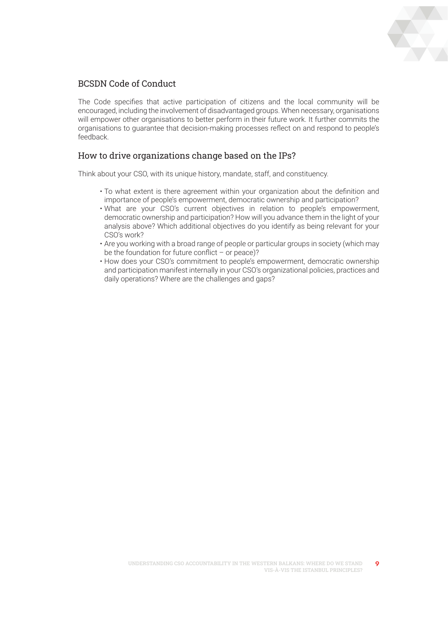

#### BCSDN Code of Conduct

The Code specifies that active participation of citizens and the local community will be encouraged, including the involvement of disadvantaged groups. When necessary, organisations will empower other organisations to better perform in their future work. It further commits the organisations to guarantee that decision-making processes reflect on and respond to people's feedback.

#### How to drive organizations change based on the IPs?

- To what extent is there agreement within your organization about the definition and importance of people's empowerment, democratic ownership and participation?
- What are your CSO's current objectives in relation to people's empowerment, democratic ownership and participation? How will you advance them in the light of your analysis above? Which additional objectives do you identify as being relevant for your CSO's work?
- Are you working with a broad range of people or particular groups in society (which may be the foundation for future conflict  $-$  or peace)?
- How does your CSO's commitment to people's empowerment, democratic ownership and participation manifest internally in your CSO's organizational policies, practices and daily operations? Where are the challenges and gaps?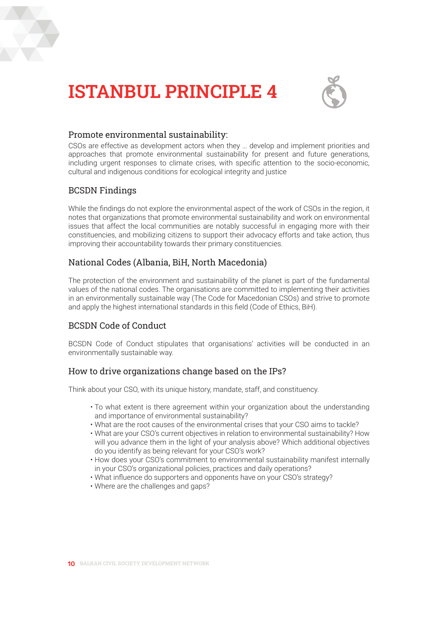



#### Promote environmental sustainability:

CSOs are effective as development actors when they … develop and implement priorities and approaches that promote environmental sustainability for present and future generations, including urgent responses to climate crises, with specific attention to the socio-economic, cultural and indigenous conditions for ecological integrity and justice

#### BCSDN Findings

While the findings do not explore the environmental aspect of the work of CSOs in the region, it notes that organizations that promote environmental sustainability and work on environmental issues that affect the local communities are notably successful in engaging more with their constituencies, and mobilizing citizens to support their advocacy efforts and take action, thus improving their accountability towards their primary constituencies.

#### National Codes (Albania, BiH, North Macedonia)

The protection of the environment and sustainability of the planet is part of the fundamental values of the national codes. The organisations are committed to implementing their activities in an environmentally sustainable way (The Code for Macedonian CSOs) and strive to promote and apply the highest international standards in this field (Code of Ethics, BiH).

#### BCSDN Code of Conduct

BCSDN Code of Conduct stipulates that organisations' activities will be conducted in an environmentally sustainable way.

#### How to drive organizations change based on the IPs?

- To what extent is there agreement within your organization about the understanding and importance of environmental sustainability?
- What are the root causes of the environmental crises that your CSO aims to tackle?
- What are your CSO's current objectives in relation to environmental sustainability? How will you advance them in the light of your analysis above? Which additional objectives do you identify as being relevant for your CSO's work?
- How does your CSO's commitment to environmental sustainability manifest internally in your CSO's organizational policies, practices and daily operations?
- What influence do supporters and opponents have on your CSO's strategy?
- Where are the challenges and gaps?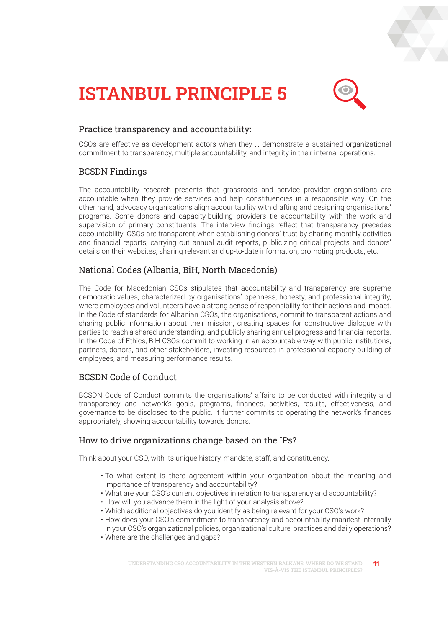



#### Practice transparency and accountability:

CSOs are effective as development actors when they … demonstrate a sustained organizational commitment to transparency, multiple accountability, and integrity in their internal operations.

#### BCSDN Findings

The accountability research presents that grassroots and service provider organisations are accountable when they provide services and help constituencies in a responsible way. On the other hand, advocacy organisations align accountability with drafting and designing organisations' programs. Some donors and capacity-building providers tie accountability with the work and supervision of primary constituents. The interview findings reflect that transparency precedes accountability. CSOs are transparent when establishing donors' trust by sharing monthly activities and financial reports, carrying out annual audit reports, publicizing critical projects and donors' details on their websites, sharing relevant and up-to-date information, promoting products, etc.

#### National Codes (Albania, BiH, North Macedonia)

The Code for Macedonian CSOs stipulates that accountability and transparency are supreme democratic values, characterized by organisations' openness, honesty, and professional integrity, where employees and volunteers have a strong sense of responsibility for their actions and impact. In the Code of standards for Albanian CSOs, the organisations, commit to transparent actions and sharing public information about their mission, creating spaces for constructive dialogue with parties to reach a shared understanding, and publicly sharing annual progress and financial reports. In the Code of Ethics, BiH CSOs commit to working in an accountable way with public institutions, partners, donors, and other stakeholders, investing resources in professional capacity building of employees, and measuring performance results.

#### BCSDN Code of Conduct

BCSDN Code of Conduct commits the organisations' affairs to be conducted with integrity and transparency and network's goals, programs, finances, activities, results, effectiveness, and governance to be disclosed to the public. It further commits to operating the network's finances appropriately, showing accountability towards donors.

#### How to drive organizations change based on the IPs?

- To what extent is there agreement within your organization about the meaning and importance of transparency and accountability?
- What are your CSO's current objectives in relation to transparency and accountability?
- How will you advance them in the light of your analysis above?
- Which additional objectives do you identify as being relevant for your CSO's work?
- How does your CSO's commitment to transparency and accountability manifest internally in your CSO's organizational policies, organizational culture, practices and daily operations?
- Where are the challenges and gaps?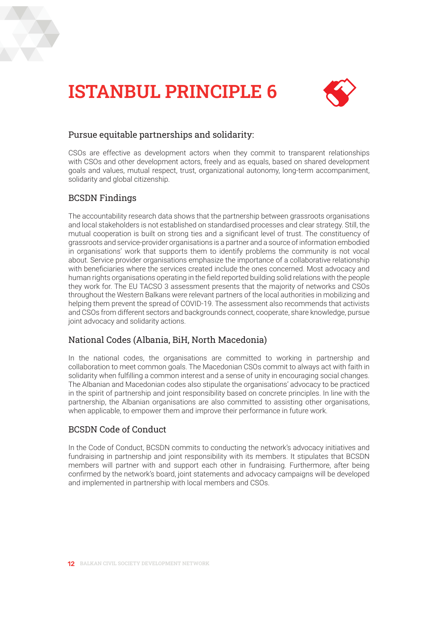



#### Pursue equitable partnerships and solidarity:

CSOs are effective as development actors when they commit to transparent relationships with CSOs and other development actors, freely and as equals, based on shared development goals and values, mutual respect, trust, organizational autonomy, long-term accompaniment, solidarity and global citizenship.

#### BCSDN Findings

The accountability research data shows that the partnership between grassroots organisations and local stakeholders is not established on standardised processes and clear strategy. Still, the mutual cooperation is built on strong ties and a significant level of trust. The constituency of grassroots and service-provider organisations is a partner and a source of information embodied in organisations' work that supports them to identify problems the community is not vocal about. Service provider organisations emphasize the importance of a collaborative relationship with beneficiaries where the services created include the ones concerned. Most advocacy and human rights organisations operating in the field reported building solid relations with the people they work for. The EU TACSO 3 assessment presents that the majority of networks and CSOs throughout the Western Balkans were relevant partners of the local authorities in mobilizing and helping them prevent the spread of COVID-19. The assessment also recommends that activists and CSOs from different sectors and backgrounds connect, cooperate, share knowledge, pursue joint advocacy and solidarity actions.

#### National Codes (Albania, BiH, North Macedonia)

In the national codes, the organisations are committed to working in partnership and collaboration to meet common goals. The Macedonian CSOs commit to always act with faith in solidarity when fulfilling a common interest and a sense of unity in encouraging social changes. The Albanian and Macedonian codes also stipulate the organisations' advocacy to be practiced in the spirit of partnership and joint responsibility based on concrete principles. In line with the partnership, the Albanian organisations are also committed to assisting other organisations, when applicable, to empower them and improve their performance in future work.

#### BCSDN Code of Conduct

In the Code of Conduct, BCSDN commits to conducting the network's advocacy initiatives and fundraising in partnership and joint responsibility with its members. It stipulates that BCSDN members will partner with and support each other in fundraising. Furthermore, after being confirmed by the network's board, joint statements and advocacy campaigns will be developed and implemented in partnership with local members and CSOs.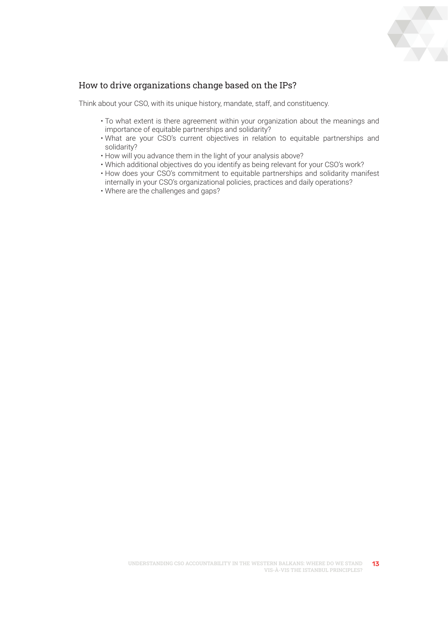

- To what extent is there agreement within your organization about the meanings and importance of equitable partnerships and solidarity?
- What are your CSO's current objectives in relation to equitable partnerships and solidarity?
- How will you advance them in the light of your analysis above?
- Which additional objectives do you identify as being relevant for your CSO's work?
- How does your CSO's commitment to equitable partnerships and solidarity manifest internally in your CSO's organizational policies, practices and daily operations?
- Where are the challenges and gaps?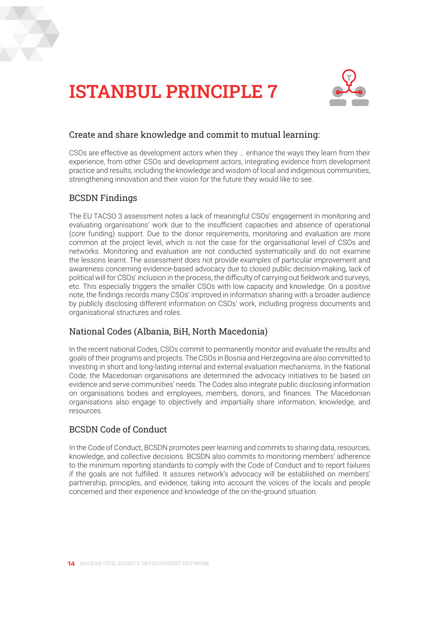



#### Create and share knowledge and commit to mutual learning:

CSOs are effective as development actors when they … enhance the ways they learn from their experience, from other CSOs and development actors, integrating evidence from development practice and results, including the knowledge and wisdom of local and indigenous communities, strengthening innovation and their vision for the future they would like to see.

#### BCSDN Findings

The EU TACSO 3 assessment notes a lack of meaningful CSOs' engagement in monitoring and evaluating organisations' work due to the insufficient capacities and absence of operational (core funding) support. Due to the donor requirements, monitoring and evaluation are more common at the project level, which is not the case for the organisational level of CSOs and networks. Monitoring and evaluation are not conducted systematically and do not examine the lessons learnt. The assessment does not provide examples of particular improvement and awareness concerning evidence-based advocacy due to closed public decision-making, lack of political will for CSOs' inclusion in the process, the difficulty of carrying out fieldwork and surveys, etc. This especially triggers the smaller CSOs with low capacity and knowledge. On a positive note, the findings records many CSOs' improved in information sharing with a broader audience by publicly disclosing different information on CSOs' work, including progress documents and organisational structures and roles.

#### National Codes (Albania, BiH, North Macedonia)

In the recent national Codes, CSOs commit to permanently monitor and evaluate the results and goals of their programs and projects. The CSOs in Bosnia and Herzegovina are also committed to investing in short and long-lasting internal and external evaluation mechanisms. In the National Code, the Macedonian organisations are determined the advocacy initiatives to be based on evidence and serve communities' needs. The Codes also integrate public disclosing information on organisations bodies and employees, members, donors, and finances. The Macedonian organisations also engage to objectively and impartially share information, knowledge, and resources.

#### BCSDN Code of Conduct

In the Code of Conduct, BCSDN promotes peer learning and commits to sharing data, resources, knowledge, and collective decisions. BCSDN also commits to monitoring members' adherence to the minimum reporting standards to comply with the Code of Conduct and to report failures if the goals are not fulfilled. It assures network's advocacy will be established on members' partnership, principles, and evidence, taking into account the voices of the locals and people concerned and their experience and knowledge of the on-the-ground situation.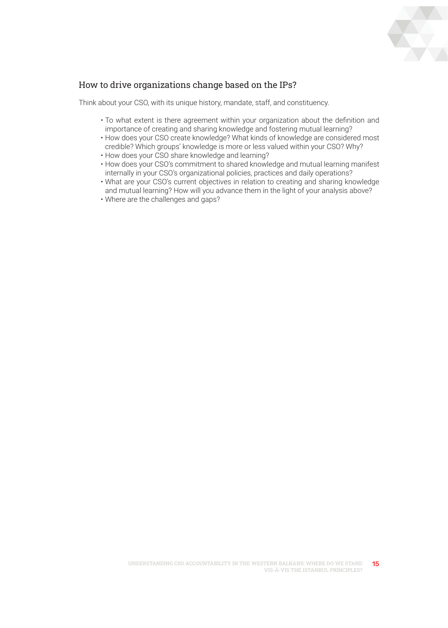

- To what extent is there agreement within your organization about the definition and importance of creating and sharing knowledge and fostering mutual learning?
- How does your CSO create knowledge? What kinds of knowledge are considered most credible? Which groups' knowledge is more or less valued within your CSO? Why?
- How does your CSO share knowledge and learning?
- How does your CSO's commitment to shared knowledge and mutual learning manifest internally in your CSO's organizational policies, practices and daily operations?
- What are your CSO's current objectives in relation to creating and sharing knowledge and mutual learning? How will you advance them in the light of your analysis above?
- Where are the challenges and gaps?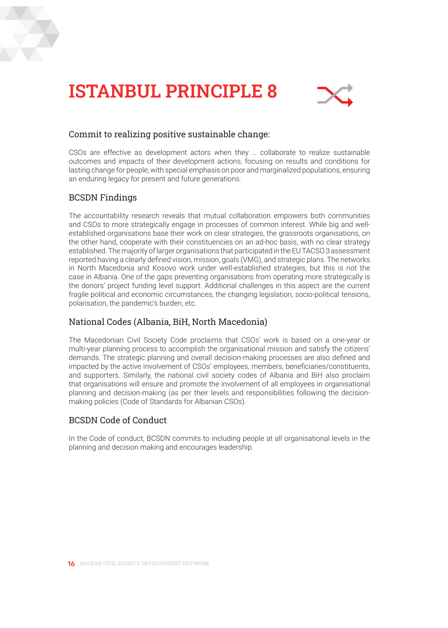



#### Commit to realizing positive sustainable change:

CSOs are effective as development actors when they … collaborate to realize sustainable outcomes and impacts of their development actions, focusing on results and conditions for lasting change for people, with special emphasis on poor and marginalized populations, ensuring an enduring legacy for present and future generations.

#### BCSDN Findings

The accountability research reveals that mutual collaboration empowers both communities and CSOs to more strategically engage in processes of common interest. While big and wellestablished organisations base their work on clear strategies, the grassroots organisations, on the other hand, cooperate with their constituencies on an ad-hoc basis, with no clear strategy established. The majority of larger organisations that participated in the EU TACSO 3 assessment reported having a clearly defined vision, mission, goals (VMG), and strategic plans. The networks in North Macedonia and Kosovo work under well-established strategies, but this is not the case in Albania. One of the gaps preventing organisations from operating more strategically is the donors' project funding level support. Additional challenges in this aspect are the current fragile political and economic circumstances, the changing legislation, socio-political tensions, polarisation, the pandemic's burden, etc.

#### National Codes (Albania, BiH, North Macedonia)

The Macedonian Civil Society Code proclaims that CSOs' work is based on a one-year or multi-year planning process to accomplish the organisational mission and satisfy the citizens' demands. The strategic planning and overall decision-making processes are also defined and impacted by the active involvement of CSOs' employees, members, beneficiaries/constituents, and supporters. Similarly, the national civil society codes of Albania and BiH also proclaim that organisations will ensure and promote the involvement of all employees in organisational planning and decision-making (as per their levels and responsibilities following the decisionmaking policies (Code of Standards for Albanian CSOs).

#### BCSDN Code of Conduct

In the Code of conduct, BCSDN commits to including people at all organisational levels in the planning and decision making and encourages leadership.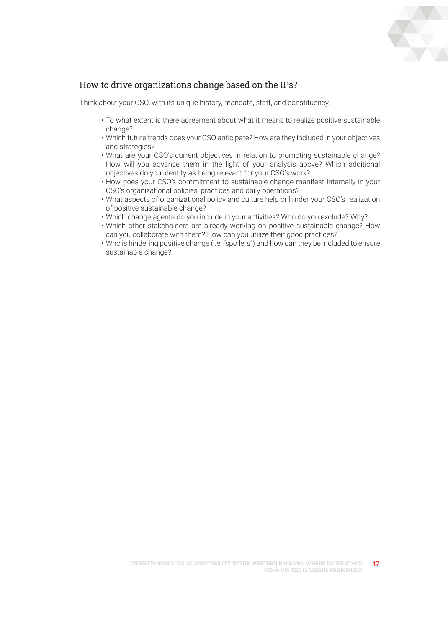

- To what extent is there agreement about what it means to realize positive sustainable change?
- Which future trends does your CSO anticipate? How are they included in your objectives and strategies?
- What are your CSO's current objectives in relation to promoting sustainable change? How will you advance them in the light of your analysis above? Which additional objectives do you identify as being relevant for your CSO's work?
- How does your CSO's commitment to sustainable change manifest internally in your CSO's organizational policies, practices and daily operations?
- What aspects of organizational policy and culture help or hinder your CSO's realization of positive sustainable change?
- Which change agents do you include in your activities? Who do you exclude? Why?
- Which other stakeholders are already working on positive sustainable change? How can you collaborate with them? How can you utilize their good practices?
- Who is hindering positive change (i.e. "spoilers") and how can they be included to ensure sustainable change?